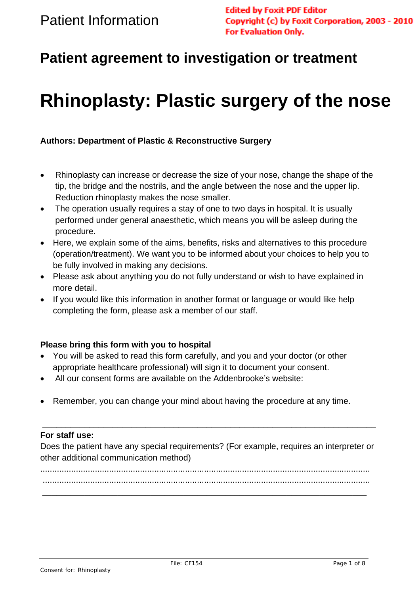$\overline{a}$ 

# **Patient agreement to investigation or treatment**

# **Rhinoplasty: Plastic surgery of the nose**

#### **Authors: Department of Plastic & Reconstructive Surgery**

- Rhinoplasty can increase or decrease the size of your nose, change the shape of the tip, the bridge and the nostrils, and the angle between the nose and the upper lip. Reduction rhinoplasty makes the nose smaller.
- The operation usually requires a stay of one to two days in hospital. It is usually performed under general anaesthetic, which means you will be asleep during the procedure.
- Here, we explain some of the aims, benefits, risks and alternatives to this procedure (operation/treatment). We want you to be informed about your choices to help you to be fully involved in making any decisions.
- Please ask about anything you do not fully understand or wish to have explained in more detail.
- If you would like this information in another format or language or would like help completing the form, please ask a member of our staff.

#### **Please bring this form with you to hospital**

- You will be asked to read this form carefully, and you and your doctor (or other appropriate healthcare professional) will sign it to document your consent.
- All our consent forms are available on the Addenbrooke's website:
- Remember, you can change your mind about having the procedure at any time.

#### **For staff use:**

Does the patient have any special requirements? (For example, requires an interpreter or other additional communication method)

**\_\_\_\_\_\_\_\_\_\_\_\_\_\_\_\_\_\_\_\_\_\_\_\_\_\_\_\_\_\_\_\_\_\_\_\_\_\_\_\_\_\_\_\_\_\_\_\_\_\_\_\_\_\_\_\_\_\_\_\_\_\_\_\_\_\_\_\_\_\_\_** 

........................................................................................................................................... ..........................................................................................................................................

\_\_\_\_\_\_\_\_\_\_\_\_\_\_\_\_\_\_\_\_\_\_\_\_\_\_\_\_\_\_\_\_\_\_\_\_\_\_\_\_\_\_\_\_\_\_\_\_\_\_\_\_\_\_\_\_\_\_\_\_\_\_\_\_\_\_\_\_\_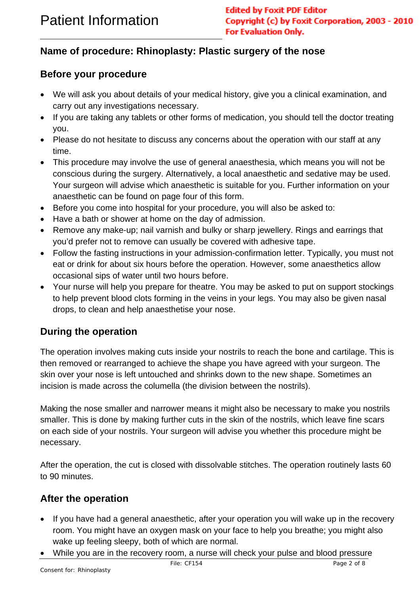## $\overline{a}$ **Name of procedure: Rhinoplasty: Plastic surgery of the nose**

## **Before your procedure**

- We will ask you about details of your medical history, give you a clinical examination, and carry out any investigations necessary.
- If you are taking any tablets or other forms of medication, you should tell the doctor treating you.
- Please do not hesitate to discuss any concerns about the operation with our staff at any time.
- This procedure may involve the use of general anaesthesia, which means you will not be conscious during the surgery. Alternatively, a local anaesthetic and sedative may be used. Your surgeon will advise which anaesthetic is suitable for you. Further information on your anaesthetic can be found on page four of this form.
- Before you come into hospital for your procedure, you will also be asked to:
- Have a bath or shower at home on the day of admission.
- Remove any make-up; nail varnish and bulky or sharp jewellery. Rings and earrings that you'd prefer not to remove can usually be covered with adhesive tape.
- Follow the fasting instructions in your admission-confirmation letter. Typically, you must not eat or drink for about six hours before the operation. However, some anaesthetics allow occasional sips of water until two hours before.
- Your nurse will help you prepare for theatre. You may be asked to put on support stockings to help prevent blood clots forming in the veins in your legs. You may also be given nasal drops, to clean and help anaesthetise your nose.

## **During the operation**

The operation involves making cuts inside your nostrils to reach the bone and cartilage. This is then removed or rearranged to achieve the shape you have agreed with your surgeon. The skin over your nose is left untouched and shrinks down to the new shape. Sometimes an incision is made across the columella (the division between the nostrils).

Making the nose smaller and narrower means it might also be necessary to make you nostrils smaller. This is done by making further cuts in the skin of the nostrils, which leave fine scars on each side of your nostrils. Your surgeon will advise you whether this procedure might be necessary.

After the operation, the cut is closed with dissolvable stitches. The operation routinely lasts 60 to 90 minutes.

## **After the operation**

- If you have had a general anaesthetic, after your operation you will wake up in the recovery room. You might have an oxygen mask on your face to help you breathe; you might also wake up feeling sleepy, both of which are normal.
- While you are in the recovery room, a nurse will check your pulse and blood pressure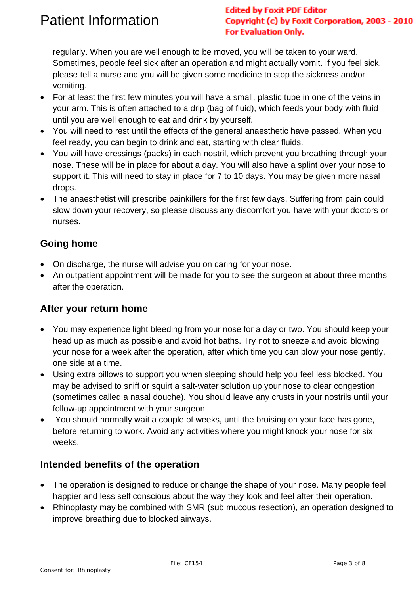$\overline{a}$ 

regularly. When you are well enough to be moved, you will be taken to your ward. Sometimes, people feel sick after an operation and might actually vomit. If you feel sick, please tell a nurse and you will be given some medicine to stop the sickness and/or vomiting.

- For at least the first few minutes you will have a small, plastic tube in one of the veins in your arm. This is often attached to a drip (bag of fluid), which feeds your body with fluid until you are well enough to eat and drink by yourself.
- You will need to rest until the effects of the general anaesthetic have passed. When you feel ready, you can begin to drink and eat, starting with clear fluids.
- You will have dressings (packs) in each nostril, which prevent you breathing through your nose. These will be in place for about a day. You will also have a splint over your nose to support it. This will need to stay in place for 7 to 10 days. You may be given more nasal drops.
- The anaesthetist will prescribe painkillers for the first few days. Suffering from pain could slow down your recovery, so please discuss any discomfort you have with your doctors or nurses.

## **Going home**

- On discharge, the nurse will advise you on caring for your nose.
- An outpatient appointment will be made for you to see the surgeon at about three months after the operation.

## **After your return home**

- You may experience light bleeding from your nose for a day or two. You should keep your head up as much as possible and avoid hot baths. Try not to sneeze and avoid blowing your nose for a week after the operation, after which time you can blow your nose gently, one side at a time.
- Using extra pillows to support you when sleeping should help you feel less blocked. You may be advised to sniff or squirt a salt-water solution up your nose to clear congestion (sometimes called a nasal douche). You should leave any crusts in your nostrils until your follow-up appointment with your surgeon.
- You should normally wait a couple of weeks, until the bruising on your face has gone, before returning to work. Avoid any activities where you might knock your nose for six weeks.

## **Intended benefits of the operation**

- The operation is designed to reduce or change the shape of your nose. Many people feel happier and less self conscious about the way they look and feel after their operation.
- Rhinoplasty may be combined with SMR (sub mucous resection), an operation designed to improve breathing due to blocked airways.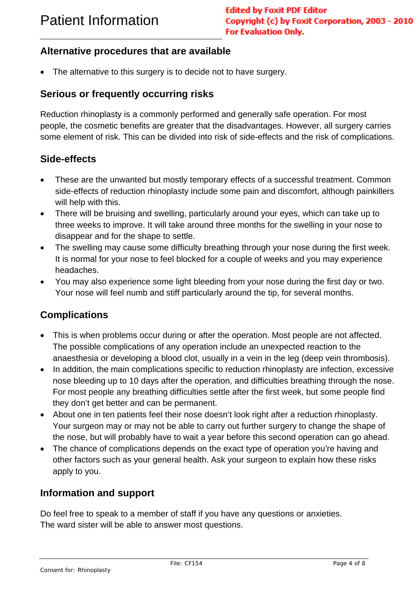#### **Alternative procedures that are available**

The alternative to this surgery is to decide not to have surgery.

#### **Serious or frequently occurring risks**

Reduction rhinoplasty is a commonly performed and generally safe operation. For most people, the cosmetic benefits are greater that the disadvantages. However, all surgery carries some element of risk. This can be divided into risk of side-effects and the risk of complications.

#### **Side-effects**

 $\overline{a}$ 

- These are the unwanted but mostly temporary effects of a successful treatment. Common side-effects of reduction rhinoplasty include some pain and discomfort, although painkillers will help with this.
- There will be bruising and swelling, particularly around your eyes, which can take up to three weeks to improve. It will take around three months for the swelling in your nose to disappear and for the shape to settle.
- The swelling may cause some difficulty breathing through your nose during the first week. It is normal for your nose to feel blocked for a couple of weeks and you may experience headaches.
- You may also experience some light bleeding from your nose during the first day or two. Your nose will feel numb and stiff particularly around the tip, for several months.

## **Complications**

- This is when problems occur during or after the operation. Most people are not affected. The possible complications of any operation include an unexpected reaction to the anaesthesia or developing a blood clot, usually in a vein in the leg (deep vein thrombosis).
- In addition, the main complications specific to reduction rhinoplasty are infection, excessive nose bleeding up to 10 days after the operation, and difficulties breathing through the nose. For most people any breathing difficulties settle after the first week, but some people find they don't get better and can be permanent.
- About one in ten patients feel their nose doesn't look right after a reduction rhinoplasty. Your surgeon may or may not be able to carry out further surgery to change the shape of the nose, but will probably have to wait a year before this second operation can go ahead.
- The chance of complications depends on the exact type of operation you're having and other factors such as your general health. Ask your surgeon to explain how these risks apply to you.

## **Information and support**

Do feel free to speak to a member of staff if you have any questions or anxieties. The ward sister will be able to answer most questions.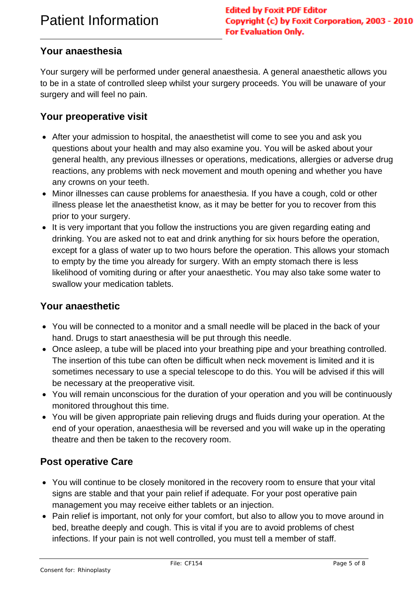## **Your anaesthesia**

 $\overline{a}$ 

Your surgery will be performed under general anaesthesia. A general anaesthetic allows you to be in a state of controlled sleep whilst your surgery proceeds. You will be unaware of your surgery and will feel no pain.

#### **Your preoperative visit**

- After your admission to hospital, the anaesthetist will come to see you and ask you questions about your health and may also examine you. You will be asked about your general health, any previous illnesses or operations, medications, allergies or adverse drug reactions, any problems with neck movement and mouth opening and whether you have any crowns on your teeth.
- Minor illnesses can cause problems for anaesthesia. If you have a cough, cold or other illness please let the anaesthetist know, as it may be better for you to recover from this prior to your surgery.
- It is very important that you follow the instructions you are given regarding eating and drinking. You are asked not to eat and drink anything for six hours before the operation, except for a glass of water up to two hours before the operation. This allows your stomach to empty by the time you already for surgery. With an empty stomach there is less likelihood of vomiting during or after your anaesthetic. You may also take some water to swallow your medication tablets.

#### **Your anaesthetic**

- You will be connected to a monitor and a small needle will be placed in the back of your hand. Drugs to start anaesthesia will be put through this needle.
- Once asleep, a tube will be placed into your breathing pipe and your breathing controlled. The insertion of this tube can often be difficult when neck movement is limited and it is sometimes necessary to use a special telescope to do this. You will be advised if this will be necessary at the preoperative visit.
- You will remain unconscious for the duration of your operation and you will be continuously monitored throughout this time.
- You will be given appropriate pain relieving drugs and fluids during your operation. At the end of your operation, anaesthesia will be reversed and you will wake up in the operating theatre and then be taken to the recovery room.

## **Post operative Care**

- You will continue to be closely monitored in the recovery room to ensure that your vital signs are stable and that your pain relief if adequate. For your post operative pain management you may receive either tablets or an injection.
- Pain relief is important, not only for your comfort, but also to allow you to move around in bed, breathe deeply and cough. This is vital if you are to avoid problems of chest infections. If your pain is not well controlled, you must tell a member of staff.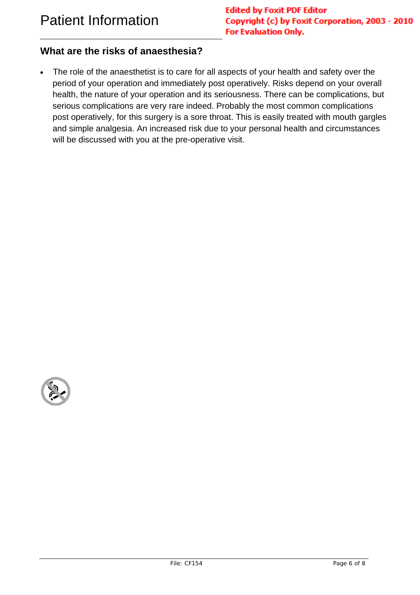$\overline{a}$ 

#### **What are the risks of anaesthesia?**

• The role of the anaesthetist is to care for all aspects of your health and safety over the period of your operation and immediately post operatively. Risks depend on your overall health, the nature of your operation and its seriousness. There can be complications, but serious complications are very rare indeed. Probably the most common complications post operatively, for this surgery is a sore throat. This is easily treated with mouth gargles and simple analgesia. An increased risk due to your personal health and circumstances will be discussed with you at the pre-operative visit.

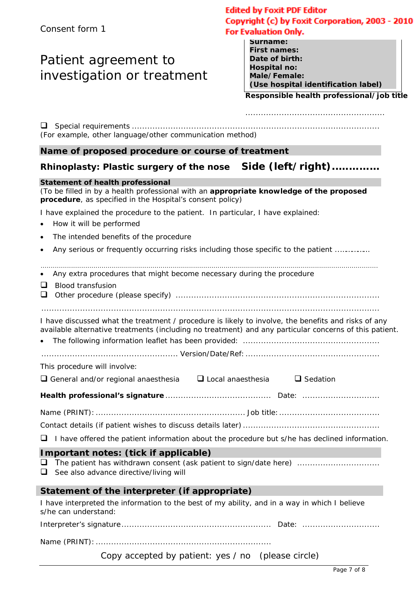## Patient agreement to investigation or treatment

#### **Edited by Foxit PDF Editor** Copyright (c) by Foxit Corporation, 2003 - 2010 **For Evaluation Only.**

| Surname:                            |
|-------------------------------------|
| <b>First names:</b>                 |
| Date of birth:                      |
| Hospital no:                        |
| Male/Female:                        |
| (Use hospital identification label) |
|                                     |

#### **Responsible health professional/job title**

......................................................

| (For example, other language/other communication method)                                                                                                                                                                                      |                 |  |  |
|-----------------------------------------------------------------------------------------------------------------------------------------------------------------------------------------------------------------------------------------------|-----------------|--|--|
| Name of proposed procedure or course of treatment                                                                                                                                                                                             |                 |  |  |
| Rhinoplasty: Plastic surgery of the nose    Side (left/right)                                                                                                                                                                                 |                 |  |  |
| <b>Statement of health professional</b><br>(To be filled in by a health professional with an appropriate knowledge of the proposed<br>procedure, as specified in the Hospital's consent policy)                                               |                 |  |  |
| I have explained the procedure to the patient. In particular, I have explained:<br>How it will be performed<br>$\bullet$                                                                                                                      |                 |  |  |
| The intended benefits of the procedure<br>$\bullet$                                                                                                                                                                                           |                 |  |  |
| Any serious or frequently occurring risks including those specific to the patient<br>$\bullet$                                                                                                                                                |                 |  |  |
| Any extra procedures that might become necessary during the procedure<br>$\bullet$<br>$\Box$<br><b>Blood transfusion</b><br>$\Box$                                                                                                            |                 |  |  |
| I have discussed what the treatment / procedure is likely to involve, the benefits and risks of any<br>available alternative treatments (including no treatment) and any particular concerns of this patient.<br>This procedure will involve: |                 |  |  |
| $\Box$ General and/or regional anaesthesia $\Box$ Local anaesthesia                                                                                                                                                                           | $\Box$ Sedation |  |  |
|                                                                                                                                                                                                                                               |                 |  |  |
|                                                                                                                                                                                                                                               |                 |  |  |
|                                                                                                                                                                                                                                               |                 |  |  |
| $\Box$ I have offered the patient information about the procedure but s/he has declined information.                                                                                                                                          |                 |  |  |
| Important notes: (tick if applicable)<br>$\Box$<br>The patient has withdrawn consent (ask patient to sign/date here)<br>$\Box$<br>See also advance directive/living will                                                                      |                 |  |  |
| Statement of the interpreter (if appropriate)                                                                                                                                                                                                 |                 |  |  |
| I have interpreted the information to the best of my ability, and in a way in which I believe<br>s/he can understand:                                                                                                                         |                 |  |  |
|                                                                                                                                                                                                                                               |                 |  |  |
|                                                                                                                                                                                                                                               |                 |  |  |

Copy accepted by patient: yes / no (please circle)